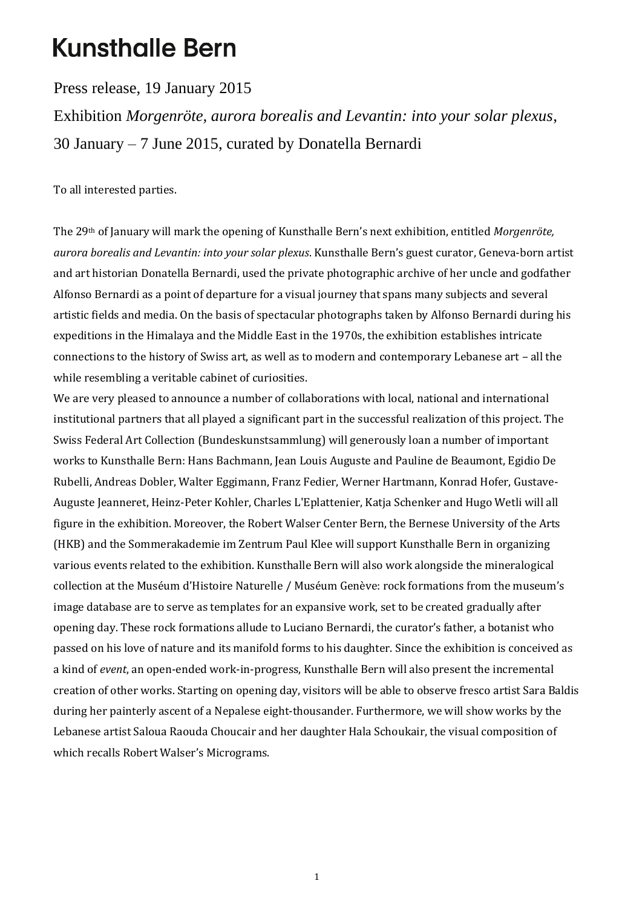## **Kunsthalle Bern**

Press release, 19 January 2015

Exhibition *Morgenröte, aurora borealis and Levantin: into your solar plexus*, 30 January – 7 June 2015, curated by Donatella Bernardi

To all interested parties.

The 29th of January will mark the opening of Kunsthalle Bern's next exhibition, entitled *Morgenröte, aurora borealis and Levantin: into your solar plexus*. Kunsthalle Bern's guest curator, Geneva-born artist and art historian Donatella Bernardi, used the private photographic archive of her uncle and godfather Alfonso Bernardi as a point of departure for a visual journey that spans many subjects and several artistic fields and media. On the basis of spectacular photographs taken by Alfonso Bernardi during his expeditions in the Himalaya and the Middle East in the 1970s, the exhibition establishes intricate connections to the history of Swiss art, as well as to modern and contemporary Lebanese art – all the while resembling a veritable cabinet of curiosities.

We are very pleased to announce a number of collaborations with local, national and international institutional partners that all played a significant part in the successful realization of this project. The Swiss Federal Art Collection (Bundeskunstsammlung) will generously loan a number of important works to Kunsthalle Bern: Hans Bachmann, Jean Louis Auguste and Pauline de Beaumont, Egidio De Rubelli, Andreas Dobler, Walter Eggimann, Franz Fedier, Werner Hartmann, Konrad Hofer, Gustave-Auguste Jeanneret, Heinz-Peter Kohler, Charles L'Eplattenier, Katja Schenker and Hugo Wetli will all figure in the exhibition. Moreover, the Robert Walser Center Bern, the Bernese University of the Arts (HKB) and the Sommerakademie im Zentrum Paul Klee will support Kunsthalle Bern in organizing various events related to the exhibition. Kunsthalle Bern will also work alongside the mineralogical collection at the Muséum d'Histoire Naturelle / Muséum Genève: rock formations from the museum's image database are to serve as templates for an expansive work, set to be created gradually after opening day. These rock formations allude to Luciano Bernardi, the curator's father, a botanist who passed on his love of nature and its manifold forms to his daughter. Since the exhibition is conceived as a kind of *event*, an open-ended work-in-progress, Kunsthalle Bern will also present the incremental creation of other works. Starting on opening day, visitors will be able to observe fresco artist Sara Baldis during her painterly ascent of a Nepalese eight-thousander. Furthermore, we will show works by the Lebanese artist Saloua Raouda Choucair and her daughter Hala Schoukair, the visual composition of which recalls Robert Walser's Micrograms.